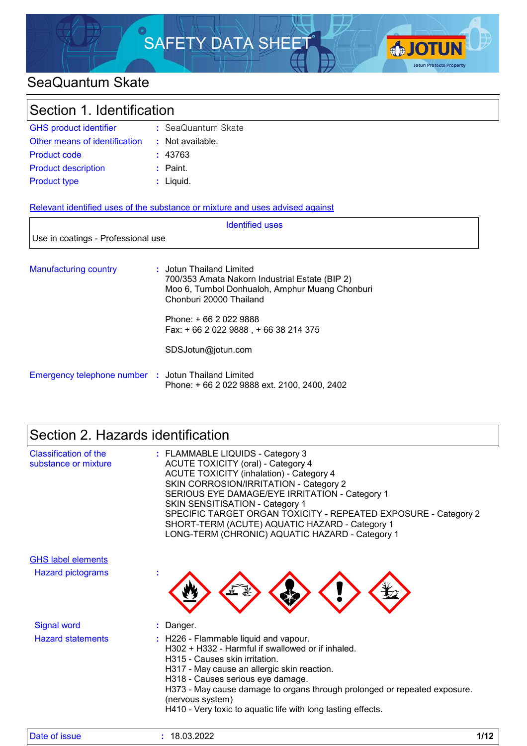

### SeaQuantum Skate

| Section 1. Identification     |                    |
|-------------------------------|--------------------|
| <b>GHS product identifier</b> | : SeaQuantum Skate |
| Other means of identification | : Not available.   |

| <b>Product code</b>        | : 43763     |
|----------------------------|-------------|
| <b>Product description</b> | $:$ Paint.  |
| <b>Product type</b>        | $:$ Liquid. |

Relevant identified uses of the substance or mixture and uses advised against

|                                                     | <b>Identified uses</b>                                                                                                                                                                                                                     |
|-----------------------------------------------------|--------------------------------------------------------------------------------------------------------------------------------------------------------------------------------------------------------------------------------------------|
| Use in coatings - Professional use                  |                                                                                                                                                                                                                                            |
| <b>Manufacturing country</b>                        | : Jotun Thailand Limited<br>700/353 Amata Nakorn Industrial Estate (BIP 2)<br>Moo 6, Tumbol Donhualoh, Amphur Muang Chonburi<br>Chonburi 20000 Thailand<br>Phone: + 66 2 022 9888<br>Fax: $+6620229888 + 6638214375$<br>SDSJotun@jotun.com |
| Emergency telephone number : Jotun Thailand Limited | Phone: +66 2 022 9888 ext. 2100, 2400, 2402                                                                                                                                                                                                |

# Section 2. Hazards identification

| <b>Classification of the</b><br>substance or mixture | : FLAMMABLE LIQUIDS - Category 3<br>ACUTE TOXICITY (oral) - Category 4<br><b>ACUTE TOXICITY (inhalation) - Category 4</b><br>SKIN CORROSION/IRRITATION - Category 2<br>SERIOUS EYE DAMAGE/EYE IRRITATION - Category 1<br><b>SKIN SENSITISATION - Category 1</b><br>SPECIFIC TARGET ORGAN TOXICITY - REPEATED EXPOSURE - Category 2<br>SHORT-TERM (ACUTE) AQUATIC HAZARD - Category 1<br>LONG-TERM (CHRONIC) AQUATIC HAZARD - Category 1 |
|------------------------------------------------------|-----------------------------------------------------------------------------------------------------------------------------------------------------------------------------------------------------------------------------------------------------------------------------------------------------------------------------------------------------------------------------------------------------------------------------------------|
| <b>GHS label elements</b>                            |                                                                                                                                                                                                                                                                                                                                                                                                                                         |
| <b>Hazard pictograms</b>                             |                                                                                                                                                                                                                                                                                                                                                                                                                                         |
| <b>Signal word</b>                                   | : Danger.                                                                                                                                                                                                                                                                                                                                                                                                                               |
| <b>Hazard statements</b>                             | : H226 - Flammable liquid and vapour.<br>H302 + H332 - Harmful if swallowed or if inhaled.<br>H315 - Causes skin irritation.<br>H317 - May cause an allergic skin reaction.<br>H318 - Causes serious eye damage.<br>H373 - May cause damage to organs through prolonged or repeated exposure.<br>(nervous system)<br>H410 - Very toxic to aquatic life with long lasting effects.                                                       |

| Date of issue | 18.03.2022<br>10 | 142<br>17 LZ |
|---------------|------------------|--------------|
|---------------|------------------|--------------|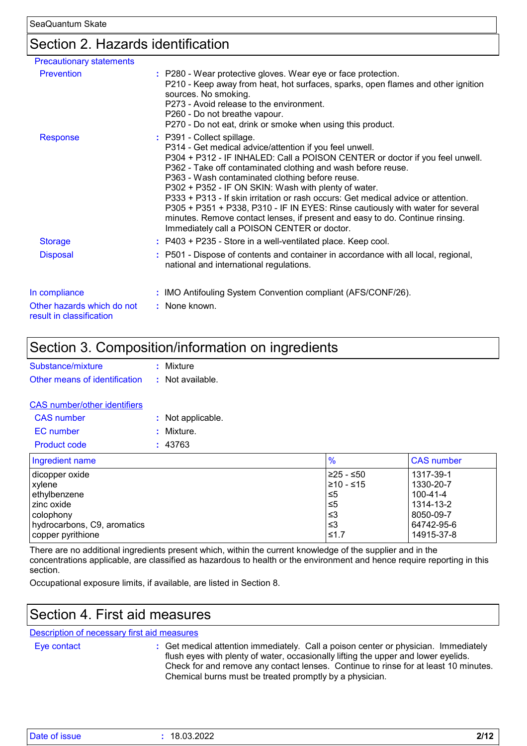### Section 2. Hazards identification

| <b>Precautionary statements</b>                        |                                                                                                                                                                                                                                                                                                                                                                                                                                                                                                                                                                                                                                                        |
|--------------------------------------------------------|--------------------------------------------------------------------------------------------------------------------------------------------------------------------------------------------------------------------------------------------------------------------------------------------------------------------------------------------------------------------------------------------------------------------------------------------------------------------------------------------------------------------------------------------------------------------------------------------------------------------------------------------------------|
| <b>Prevention</b>                                      | : P280 - Wear protective gloves. Wear eye or face protection.<br>P210 - Keep away from heat, hot surfaces, sparks, open flames and other ignition<br>sources. No smoking.<br>P273 - Avoid release to the environment.<br>P260 - Do not breathe vapour.<br>P270 - Do not eat, drink or smoke when using this product.                                                                                                                                                                                                                                                                                                                                   |
| <b>Response</b>                                        | : P391 - Collect spillage.<br>P314 - Get medical advice/attention if you feel unwell.<br>P304 + P312 - IF INHALED: Call a POISON CENTER or doctor if you feel unwell.<br>P362 - Take off contaminated clothing and wash before reuse.<br>P363 - Wash contaminated clothing before reuse.<br>P302 + P352 - IF ON SKIN: Wash with plenty of water.<br>P333 + P313 - If skin irritation or rash occurs: Get medical advice or attention.<br>P305 + P351 + P338, P310 - IF IN EYES: Rinse cautiously with water for several<br>minutes. Remove contact lenses, if present and easy to do. Continue rinsing.<br>Immediately call a POISON CENTER or doctor. |
| <b>Storage</b>                                         | : P403 + P235 - Store in a well-ventilated place. Keep cool.                                                                                                                                                                                                                                                                                                                                                                                                                                                                                                                                                                                           |
| <b>Disposal</b>                                        | : P501 - Dispose of contents and container in accordance with all local, regional,<br>national and international regulations.                                                                                                                                                                                                                                                                                                                                                                                                                                                                                                                          |
| In compliance                                          | : IMO Antifouling System Convention compliant (AFS/CONF/26).                                                                                                                                                                                                                                                                                                                                                                                                                                                                                                                                                                                           |
| Other hazards which do not<br>result in classification | : None known.                                                                                                                                                                                                                                                                                                                                                                                                                                                                                                                                                                                                                                          |

### Section 3. Composition/information on ingredients

| Substance/mixture             | : Mixture        |
|-------------------------------|------------------|
| Other means of identification | : Not available. |
|                               |                  |

#### CAS number/other identifiers

| CAS number   | : Not applicable. |
|--------------|-------------------|
| EC number    | : Mixture.        |
| Product code | : 43763           |

| $\frac{6}{6}$   | <b>CAS</b> number |
|-----------------|-------------------|
| 1≥25 - ≤50      | 1317-39-1         |
| $\geq 10 - 515$ | 1330-20-7         |
| ≤5              | 100-41-4          |
| ו≥ ≥            | 1314-13-2         |
| ∣≤3             | 8050-09-7         |
| צ≥              | 64742-95-6        |
| ≤1.7            | 14915-37-8        |
|                 |                   |

There are no additional ingredients present which, within the current knowledge of the supplier and in the concentrations applicable, are classified as hazardous to health or the environment and hence require reporting in this section.

Occupational exposure limits, if available, are listed in Section 8.

### Section 4. First aid measures

#### Description of necessary first aid measures

Eye contact **:**

Get medical attention immediately. Call a poison center or physician. Immediately flush eyes with plenty of water, occasionally lifting the upper and lower eyelids. Check for and remove any contact lenses. Continue to rinse for at least 10 minutes. Chemical burns must be treated promptly by a physician.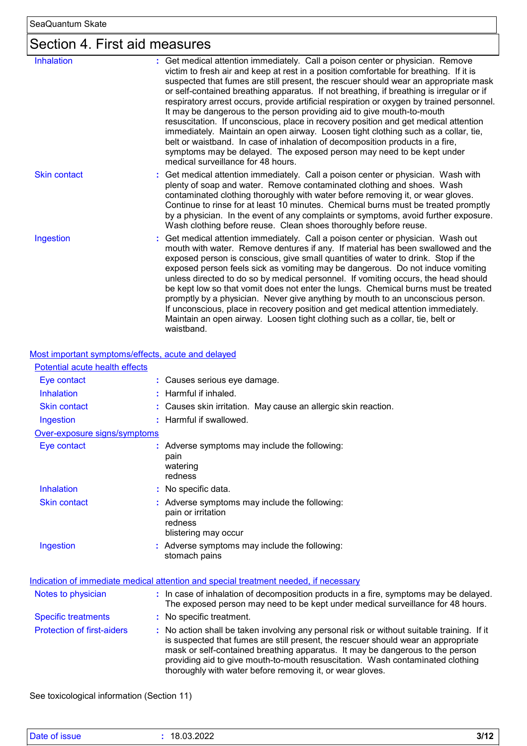# Section 4. First aid measures

| <b>Inhalation</b>   | : Get medical attention immediately. Call a poison center or physician. Remove<br>victim to fresh air and keep at rest in a position comfortable for breathing. If it is<br>suspected that fumes are still present, the rescuer should wear an appropriate mask<br>or self-contained breathing apparatus. If not breathing, if breathing is irregular or if<br>respiratory arrest occurs, provide artificial respiration or oxygen by trained personnel.<br>It may be dangerous to the person providing aid to give mouth-to-mouth<br>resuscitation. If unconscious, place in recovery position and get medical attention<br>immediately. Maintain an open airway. Loosen tight clothing such as a collar, tie,<br>belt or waistband. In case of inhalation of decomposition products in a fire,<br>symptoms may be delayed. The exposed person may need to be kept under<br>medical surveillance for 48 hours. |
|---------------------|-----------------------------------------------------------------------------------------------------------------------------------------------------------------------------------------------------------------------------------------------------------------------------------------------------------------------------------------------------------------------------------------------------------------------------------------------------------------------------------------------------------------------------------------------------------------------------------------------------------------------------------------------------------------------------------------------------------------------------------------------------------------------------------------------------------------------------------------------------------------------------------------------------------------|
| <b>Skin contact</b> | : Get medical attention immediately. Call a poison center or physician. Wash with<br>plenty of soap and water. Remove contaminated clothing and shoes. Wash<br>contaminated clothing thoroughly with water before removing it, or wear gloves.<br>Continue to rinse for at least 10 minutes. Chemical burns must be treated promptly<br>by a physician. In the event of any complaints or symptoms, avoid further exposure.<br>Wash clothing before reuse. Clean shoes thoroughly before reuse.                                                                                                                                                                                                                                                                                                                                                                                                                 |
| Ingestion           | : Get medical attention immediately. Call a poison center or physician. Wash out<br>mouth with water. Remove dentures if any. If material has been swallowed and the<br>exposed person is conscious, give small quantities of water to drink. Stop if the<br>exposed person feels sick as vomiting may be dangerous. Do not induce vomiting<br>unless directed to do so by medical personnel. If vomiting occurs, the head should<br>be kept low so that vomit does not enter the lungs. Chemical burns must be treated<br>promptly by a physician. Never give anything by mouth to an unconscious person.<br>If unconscious, place in recovery position and get medical attention immediately.<br>Maintain an open airway. Loosen tight clothing such as a collar, tie, belt or<br>waistband.                                                                                                                  |

Most important symptoms/effects, acute and delayed

| Potential acute health effects    |                                                                                                                                                                                                                                                                                                                                                                                                                 |
|-----------------------------------|-----------------------------------------------------------------------------------------------------------------------------------------------------------------------------------------------------------------------------------------------------------------------------------------------------------------------------------------------------------------------------------------------------------------|
| Eye contact                       | : Causes serious eye damage.                                                                                                                                                                                                                                                                                                                                                                                    |
| <b>Inhalation</b>                 | : Harmful if inhaled.                                                                                                                                                                                                                                                                                                                                                                                           |
| <b>Skin contact</b>               | : Causes skin irritation. May cause an allergic skin reaction.                                                                                                                                                                                                                                                                                                                                                  |
| Ingestion                         | : Harmful if swallowed.                                                                                                                                                                                                                                                                                                                                                                                         |
| Over-exposure signs/symptoms      |                                                                                                                                                                                                                                                                                                                                                                                                                 |
| Eye contact                       | : Adverse symptoms may include the following:<br>pain<br>watering<br>redness                                                                                                                                                                                                                                                                                                                                    |
| Inhalation                        | : No specific data.                                                                                                                                                                                                                                                                                                                                                                                             |
| <b>Skin contact</b>               | : Adverse symptoms may include the following:<br>pain or irritation<br>redness<br>blistering may occur                                                                                                                                                                                                                                                                                                          |
| Ingestion                         | : Adverse symptoms may include the following:<br>stomach pains                                                                                                                                                                                                                                                                                                                                                  |
|                                   | Indication of immediate medical attention and special treatment needed, if necessary                                                                                                                                                                                                                                                                                                                            |
| Notes to physician                | : In case of inhalation of decomposition products in a fire, symptoms may be delayed.<br>The exposed person may need to be kept under medical surveillance for 48 hours.                                                                                                                                                                                                                                        |
| <b>Specific treatments</b>        | : No specific treatment.                                                                                                                                                                                                                                                                                                                                                                                        |
| <b>Protection of first-aiders</b> | : No action shall be taken involving any personal risk or without suitable training. If it<br>is suspected that fumes are still present, the rescuer should wear an appropriate<br>mask or self-contained breathing apparatus. It may be dangerous to the person<br>providing aid to give mouth-to-mouth resuscitation. Wash contaminated clothing<br>thoroughly with water before removing it, or wear gloves. |

See toxicological information (Section 11)

| Date of issue | 18.03.2022 | 3/1'<br>. . |
|---------------|------------|-------------|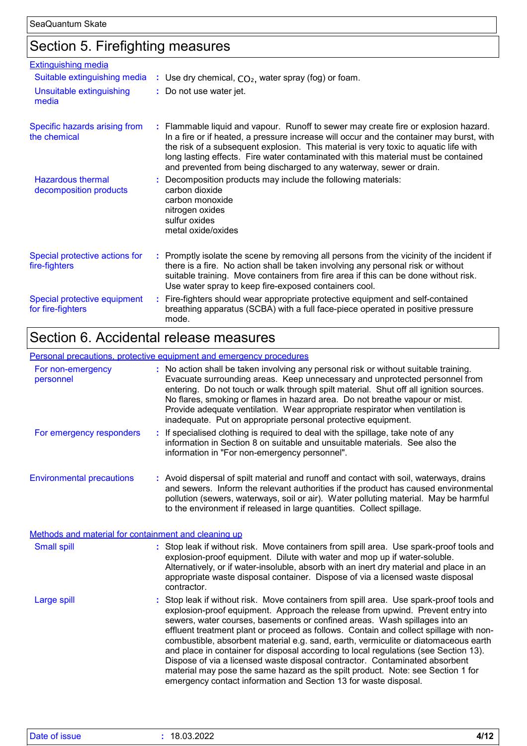### Section 5. Firefighting measures

| <b>Extinguishing media</b>                         |                                                                                                                                                                                                                                                                                                                                                                                                                                       |
|----------------------------------------------------|---------------------------------------------------------------------------------------------------------------------------------------------------------------------------------------------------------------------------------------------------------------------------------------------------------------------------------------------------------------------------------------------------------------------------------------|
| Suitable extinguishing media                       | : Use dry chemical, $CO2$ , water spray (fog) or foam.                                                                                                                                                                                                                                                                                                                                                                                |
| Unsuitable extinguishing<br>media                  | : Do not use water jet.                                                                                                                                                                                                                                                                                                                                                                                                               |
| Specific hazards arising from<br>the chemical      | : Flammable liquid and vapour. Runoff to sewer may create fire or explosion hazard.<br>In a fire or if heated, a pressure increase will occur and the container may burst, with<br>the risk of a subsequent explosion. This material is very toxic to aquatic life with<br>long lasting effects. Fire water contaminated with this material must be contained<br>and prevented from being discharged to any waterway, sewer or drain. |
| <b>Hazardous thermal</b><br>decomposition products | Decomposition products may include the following materials:<br>carbon dioxide<br>carbon monoxide<br>nitrogen oxides<br>sulfur oxides<br>metal oxide/oxides                                                                                                                                                                                                                                                                            |
| Special protective actions for<br>fire-fighters    | : Promptly isolate the scene by removing all persons from the vicinity of the incident if<br>there is a fire. No action shall be taken involving any personal risk or without<br>suitable training. Move containers from fire area if this can be done without risk.<br>Use water spray to keep fire-exposed containers cool.                                                                                                         |
| Special protective equipment<br>for fire-fighters  | : Fire-fighters should wear appropriate protective equipment and self-contained<br>breathing apparatus (SCBA) with a full face-piece operated in positive pressure<br>mode.                                                                                                                                                                                                                                                           |

### Section 6. Accidental release measures

#### Environmental precautions Personal precautions, protective equipment and emergency procedures Stop leak if without risk. Move containers from spill area. Use spark-proof tools and explosion-proof equipment. Approach the release from upwind. Prevent entry into sewers, water courses, basements or confined areas. Wash spillages into an effluent treatment plant or proceed as follows. Contain and collect spillage with noncombustible, absorbent material e.g. sand, earth, vermiculite or diatomaceous earth and place in container for disposal according to local regulations (see Section 13). Dispose of via a licensed waste disposal contractor. Contaminated absorbent material may pose the same hazard as the spilt product. Note: see Section 1 for emergency contact information and Section 13 for waste disposal. **:** Avoid dispersal of spilt material and runoff and contact with soil, waterways, drains **:** No action shall be taken involving any personal risk or without suitable training. Evacuate surrounding areas. Keep unnecessary and unprotected personnel from entering. Do not touch or walk through spilt material. Shut off all ignition sources. No flares, smoking or flames in hazard area. Do not breathe vapour or mist. Provide adequate ventilation. Wear appropriate respirator when ventilation is inadequate. Put on appropriate personal protective equipment. and sewers. Inform the relevant authorities if the product has caused environmental pollution (sewers, waterways, soil or air). Water polluting material. May be harmful to the environment if released in large quantities. Collect spillage. Large spill **:** Stop leak if without risk. Move containers from spill area. Use spark-proof tools and explosion-proof equipment. Dilute with water and mop up if water-soluble. Alternatively, or if water-insoluble, absorb with an inert dry material and place in an appropriate waste disposal container. Dispose of via a licensed waste disposal contractor. Small spill **:** Methods and material for containment and cleaning up For non-emergency personnel For emergency responders **:** If specialised clothing is required to deal with the spillage, take note of any information in Section 8 on suitable and unsuitable materials. See also the information in "For non-emergency personnel".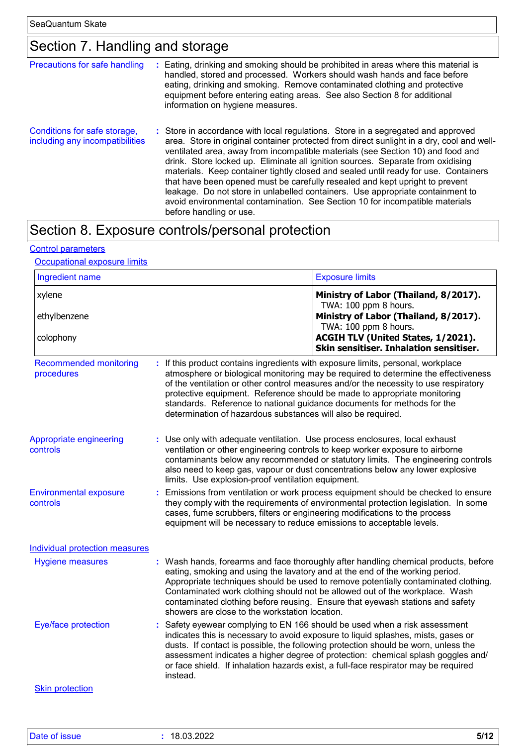# Section 7. Handling and storage

| Precautions for safe handling                                   | Eating, drinking and smoking should be prohibited in areas where this material is<br>handled, stored and processed. Workers should wash hands and face before<br>eating, drinking and smoking. Remove contaminated clothing and protective<br>equipment before entering eating areas. See also Section 8 for additional<br>information on hygiene measures.                                                                                                                                                                                                                                                                                                                                                             |
|-----------------------------------------------------------------|-------------------------------------------------------------------------------------------------------------------------------------------------------------------------------------------------------------------------------------------------------------------------------------------------------------------------------------------------------------------------------------------------------------------------------------------------------------------------------------------------------------------------------------------------------------------------------------------------------------------------------------------------------------------------------------------------------------------------|
| Conditions for safe storage,<br>including any incompatibilities | : Store in accordance with local regulations. Store in a segregated and approved<br>area. Store in original container protected from direct sunlight in a dry, cool and well-<br>ventilated area, away from incompatible materials (see Section 10) and food and<br>drink. Store locked up. Eliminate all ignition sources. Separate from oxidising<br>materials. Keep container tightly closed and sealed until ready for use. Containers<br>that have been opened must be carefully resealed and kept upright to prevent<br>leakage. Do not store in unlabelled containers. Use appropriate containment to<br>avoid environmental contamination. See Section 10 for incompatible materials<br>before handling or use. |

# Section 8. Exposure controls/personal protection

#### Control parameters

#### **Occupational exposure limits**

| Ingredient name                             |                                                                                                                                                     | <b>Exposure limits</b>                                                                                                                                                                                                                                                                                                                                                                                                         |
|---------------------------------------------|-----------------------------------------------------------------------------------------------------------------------------------------------------|--------------------------------------------------------------------------------------------------------------------------------------------------------------------------------------------------------------------------------------------------------------------------------------------------------------------------------------------------------------------------------------------------------------------------------|
| xylene                                      |                                                                                                                                                     | Ministry of Labor (Thailand, 8/2017).<br>TWA: 100 ppm 8 hours.                                                                                                                                                                                                                                                                                                                                                                 |
| ethylbenzene                                |                                                                                                                                                     | Ministry of Labor (Thailand, 8/2017).<br>TWA: 100 ppm 8 hours.                                                                                                                                                                                                                                                                                                                                                                 |
| colophony                                   |                                                                                                                                                     | ACGIH TLV (United States, 1/2021).<br>Skin sensitiser. Inhalation sensitiser.                                                                                                                                                                                                                                                                                                                                                  |
| <b>Recommended monitoring</b><br>procedures | determination of hazardous substances will also be required.                                                                                        | : If this product contains ingredients with exposure limits, personal, workplace<br>atmosphere or biological monitoring may be required to determine the effectiveness<br>of the ventilation or other control measures and/or the necessity to use respiratory<br>protective equipment. Reference should be made to appropriate monitoring<br>standards. Reference to national guidance documents for methods for the          |
| Appropriate engineering<br>controls         | : Use only with adequate ventilation. Use process enclosures, local exhaust<br>limits. Use explosion-proof ventilation equipment.                   | ventilation or other engineering controls to keep worker exposure to airborne<br>contaminants below any recommended or statutory limits. The engineering controls<br>also need to keep gas, vapour or dust concentrations below any lower explosive                                                                                                                                                                            |
| <b>Environmental exposure</b><br>controls   | cases, fume scrubbers, filters or engineering modifications to the process<br>equipment will be necessary to reduce emissions to acceptable levels. | : Emissions from ventilation or work process equipment should be checked to ensure<br>they comply with the requirements of environmental protection legislation. In some                                                                                                                                                                                                                                                       |
| <b>Individual protection measures</b>       |                                                                                                                                                     |                                                                                                                                                                                                                                                                                                                                                                                                                                |
| <b>Hygiene measures</b>                     | showers are close to the workstation location.                                                                                                      | : Wash hands, forearms and face thoroughly after handling chemical products, before<br>eating, smoking and using the lavatory and at the end of the working period.<br>Appropriate techniques should be used to remove potentially contaminated clothing.<br>Contaminated work clothing should not be allowed out of the workplace. Wash<br>contaminated clothing before reusing. Ensure that eyewash stations and safety      |
| Eye/face protection                         | instead.                                                                                                                                            | Safety eyewear complying to EN 166 should be used when a risk assessment<br>indicates this is necessary to avoid exposure to liquid splashes, mists, gases or<br>dusts. If contact is possible, the following protection should be worn, unless the<br>assessment indicates a higher degree of protection: chemical splash goggles and/<br>or face shield. If inhalation hazards exist, a full-face respirator may be required |
| <b>Skin protection</b>                      |                                                                                                                                                     |                                                                                                                                                                                                                                                                                                                                                                                                                                |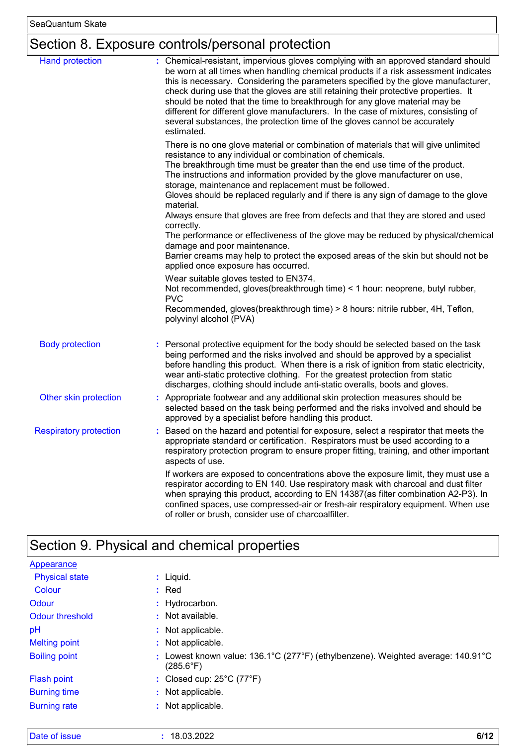# Section 8. Exposure controls/personal protection

| <b>Hand protection</b>        | : Chemical-resistant, impervious gloves complying with an approved standard should                                                                                                                                                                                                                                                                                                                                                                                                                                                  |
|-------------------------------|-------------------------------------------------------------------------------------------------------------------------------------------------------------------------------------------------------------------------------------------------------------------------------------------------------------------------------------------------------------------------------------------------------------------------------------------------------------------------------------------------------------------------------------|
|                               | be worn at all times when handling chemical products if a risk assessment indicates<br>this is necessary. Considering the parameters specified by the glove manufacturer,<br>check during use that the gloves are still retaining their protective properties. It<br>should be noted that the time to breakthrough for any glove material may be<br>different for different glove manufacturers. In the case of mixtures, consisting of<br>several substances, the protection time of the gloves cannot be accurately<br>estimated. |
|                               | There is no one glove material or combination of materials that will give unlimited<br>resistance to any individual or combination of chemicals.<br>The breakthrough time must be greater than the end use time of the product.<br>The instructions and information provided by the glove manufacturer on use,<br>storage, maintenance and replacement must be followed.<br>Gloves should be replaced regularly and if there is any sign of damage to the glove<br>material.                                                        |
|                               | Always ensure that gloves are free from defects and that they are stored and used<br>correctly.<br>The performance or effectiveness of the glove may be reduced by physical/chemical<br>damage and poor maintenance.<br>Barrier creams may help to protect the exposed areas of the skin but should not be<br>applied once exposure has occurred.                                                                                                                                                                                   |
|                               | Wear suitable gloves tested to EN374.<br>Not recommended, gloves(breakthrough time) < 1 hour: neoprene, butyl rubber,<br><b>PVC</b><br>Recommended, gloves(breakthrough time) > 8 hours: nitrile rubber, 4H, Teflon,<br>polyvinyl alcohol (PVA)                                                                                                                                                                                                                                                                                     |
| <b>Body protection</b>        | Personal protective equipment for the body should be selected based on the task<br>being performed and the risks involved and should be approved by a specialist<br>before handling this product. When there is a risk of ignition from static electricity,<br>wear anti-static protective clothing. For the greatest protection from static<br>discharges, clothing should include anti-static overalls, boots and gloves.                                                                                                         |
| Other skin protection         | Appropriate footwear and any additional skin protection measures should be<br>selected based on the task being performed and the risks involved and should be<br>approved by a specialist before handling this product.                                                                                                                                                                                                                                                                                                             |
| <b>Respiratory protection</b> | Based on the hazard and potential for exposure, select a respirator that meets the<br>appropriate standard or certification. Respirators must be used according to a<br>respiratory protection program to ensure proper fitting, training, and other important<br>aspects of use.                                                                                                                                                                                                                                                   |
|                               | If workers are exposed to concentrations above the exposure limit, they must use a<br>respirator according to EN 140. Use respiratory mask with charcoal and dust filter<br>when spraying this product, according to EN 14387(as filter combination A2-P3). In<br>confined spaces, use compressed-air or fresh-air respiratory equipment. When use<br>of roller or brush, consider use of charcoalfilter.                                                                                                                           |

# Section 9. Physical and chemical properties

| Appearance            |                                                                                                      |
|-----------------------|------------------------------------------------------------------------------------------------------|
| <b>Physical state</b> | $:$ Liquid.                                                                                          |
| Colour                | $:$ Red                                                                                              |
| Odour                 | : Hydrocarbon.                                                                                       |
| Odour threshold       | $\cdot$ Not available.                                                                               |
| pH                    | : Not applicable.                                                                                    |
| <b>Melting point</b>  | : Not applicable.                                                                                    |
| <b>Boiling point</b>  | Lowest known value: 136.1°C (277°F) (ethylbenzene). Weighted average: 140.91°C<br>$(285.6^{\circ}F)$ |
| <b>Flash point</b>    | : Closed cup: $25^{\circ}$ C (77 $^{\circ}$ F)                                                       |
| <b>Burning time</b>   | : Not applicable.                                                                                    |
| <b>Burning rate</b>   | : Not applicable.                                                                                    |

| Date of issue | 10.02.2020<br>.uj.zuzz | 14 O |
|---------------|------------------------|------|
|               |                        |      |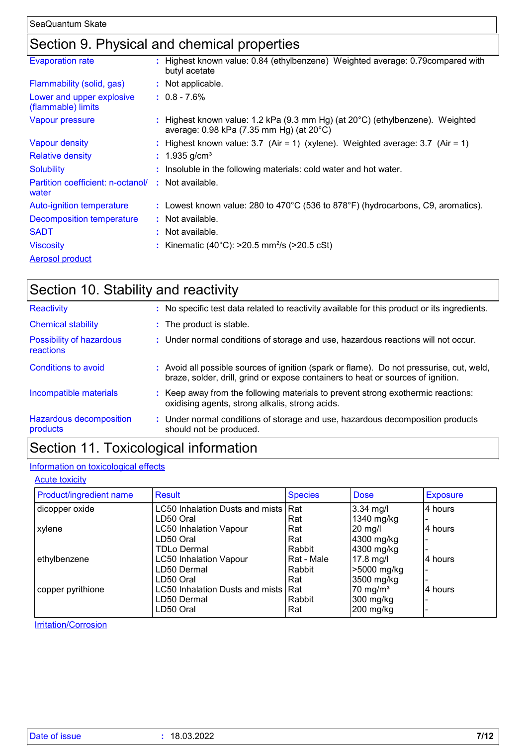# Section 9. Physical and chemical properties

| <b>Evaporation rate</b>                         | : Highest known value: 0.84 (ethylbenzene) Weighted average: 0.79 compared with<br>butyl acetate                                    |
|-------------------------------------------------|-------------------------------------------------------------------------------------------------------------------------------------|
| Flammability (solid, gas)                       | : Not applicable.                                                                                                                   |
| Lower and upper explosive<br>(flammable) limits | $: 0.8 - 7.6\%$                                                                                                                     |
| Vapour pressure                                 | : Highest known value: 1.2 kPa (9.3 mm Hg) (at $20^{\circ}$ C) (ethylbenzene). Weighted<br>average: 0.98 kPa (7.35 mm Hg) (at 20°C) |
| <b>Vapour density</b>                           | : Highest known value: $3.7$ (Air = 1) (xylene). Weighted average: $3.7$ (Air = 1)                                                  |
| <b>Relative density</b>                         | : $1.935$ g/cm <sup>3</sup>                                                                                                         |
| <b>Solubility</b>                               | : Insoluble in the following materials: cold water and hot water.                                                                   |
| Partition coefficient: n-octanol/<br>water      | : Not available.                                                                                                                    |
| Auto-ignition temperature                       | : Lowest known value: 280 to 470°C (536 to 878°F) (hydrocarbons, C9, aromatics).                                                    |
| Decomposition temperature                       | : Not available.                                                                                                                    |
| <b>SADT</b>                                     | : Not available.                                                                                                                    |
| <b>Viscosity</b>                                | : Kinematic (40°C): >20.5 mm <sup>2</sup> /s (>20.5 cSt)                                                                            |
| <b>Aerosol product</b>                          |                                                                                                                                     |

| Section 10. Stability and reactivity       |                                                                                                                                                                              |
|--------------------------------------------|------------------------------------------------------------------------------------------------------------------------------------------------------------------------------|
| Reactivity                                 | : No specific test data related to reactivity available for this product or its ingredients.                                                                                 |
| <b>Chemical stability</b>                  | : The product is stable.                                                                                                                                                     |
| Possibility of hazardous<br>reactions      | : Under normal conditions of storage and use, hazardous reactions will not occur.                                                                                            |
| Conditions to avoid                        | : Avoid all possible sources of ignition (spark or flame). Do not pressurise, cut, weld,<br>braze, solder, drill, grind or expose containers to heat or sources of ignition. |
| Incompatible materials                     | : Keep away from the following materials to prevent strong exothermic reactions:<br>oxidising agents, strong alkalis, strong acids.                                          |
| <b>Hazardous decomposition</b><br>products | : Under normal conditions of storage and use, hazardous decomposition products<br>should not be produced.                                                                    |
|                                            |                                                                                                                                                                              |

# Section 11. Toxicological information

#### Information on toxicological effects

**Acute toxicity** 

| Product/ingredient name | Result                              | <b>Species</b> | <b>Dose</b>          | <b>Exposure</b> |
|-------------------------|-------------------------------------|----------------|----------------------|-----------------|
| dicopper oxide          | LC50 Inhalation Dusts and mists Rat |                | $3.34$ mg/l          | 4 hours         |
|                         | LD50 Oral                           | Rat            | 1340 mg/kg           |                 |
| xylene                  | <b>LC50 Inhalation Vapour</b>       | Rat            | $20$ mg/l            | 4 hours         |
|                         | LD50 Oral                           | Rat            | 4300 mg/kg           |                 |
|                         | <b>TDLo Dermal</b>                  | Rabbit         | 4300 mg/kg           |                 |
| ethylbenzene            | <b>LC50 Inhalation Vapour</b>       | Rat - Male     | 17.8 mg/l            | l4 hours        |
|                         | LD50 Dermal                         | Rabbit         | >5000 mg/kg          |                 |
|                         | LD50 Oral                           | Rat            | 3500 mg/kg           |                 |
| copper pyrithione       | LC50 Inhalation Dusts and mists Rat |                | 70 mg/m <sup>3</sup> | 14 hours        |
|                         | LD50 Dermal                         | Rabbit         | 300 mg/kg            |                 |
|                         | LD50 Oral                           | Rat            | 200 mg/kg            |                 |

**Irritation/Corrosion**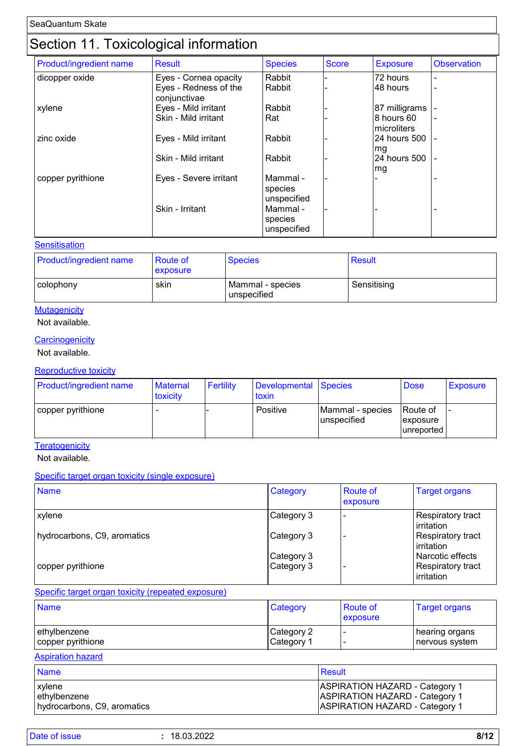# Section 11. Toxicological information

| Product/ingredient name | <b>Result</b>                         | <b>Species</b>                     | <b>Score</b> | <b>Exposure</b>            | <b>Observation</b> |
|-------------------------|---------------------------------------|------------------------------------|--------------|----------------------------|--------------------|
| dicopper oxide          | Eyes - Cornea opacity                 | Rabbit                             |              | 72 hours                   | ٠                  |
|                         | Eyes - Redness of the<br>conjunctivae | Rabbit                             |              | l48 hours                  | ٠                  |
| xylene                  | Eyes - Mild irritant                  | Rabbit                             |              | 87 milligrams              |                    |
|                         | Skin - Mild irritant                  | Rat                                |              | 8 hours 60<br>Imicroliters | ۰                  |
| zinc oxide              | Eyes - Mild irritant                  | Rabbit                             |              | 24 hours 500               |                    |
|                         | Skin - Mild irritant                  | Rabbit                             |              | mg<br>24 hours 500<br>mg   |                    |
| copper pyrithione       | Eyes - Severe irritant                | Mammal -<br>species<br>unspecified |              |                            |                    |
|                         | Skin - Irritant                       | Mammal -<br>species<br>unspecified |              |                            |                    |

#### **Sensitisation**

| <b>Product/ingredient name</b> | <b>Route of</b><br><b>exposure</b> | <b>Species</b>                  | <b>Result</b> |
|--------------------------------|------------------------------------|---------------------------------|---------------|
| l colophony                    | skin                               | Mammal - species<br>unspecified | Sensitising   |

#### **Mutagenicity**

#### Not available.

#### **Carcinogenicity**

Not available.

#### Reproductive toxicity

| Product/ingredient name | <b>Maternal</b><br>toxicity | Fertility | Developmental Species<br><b>toxin</b> |                                 | <b>Dose</b>                         | Exposure |
|-------------------------|-----------------------------|-----------|---------------------------------------|---------------------------------|-------------------------------------|----------|
| copper pyrithione       |                             |           | Positive                              | Mammal - species<br>unspecified | Route of<br>exposure<br>lunreported |          |

**Teratogenicity** 

Not available.

#### Specific target organ toxicity (single exposure)

| <b>Name</b>                 | Category   | <b>Route of</b><br>exposure | <b>Target organs</b>                    |
|-----------------------------|------------|-----------------------------|-----------------------------------------|
| <b>xylene</b>               | Category 3 |                             | Respiratory tract<br>irritation         |
| hydrocarbons, C9, aromatics | Category 3 |                             | Respiratory tract<br><b>lirritation</b> |
|                             | Category 3 |                             | Narcotic effects                        |
| copper pyrithione           | Category 3 |                             | Respiratory tract<br>irritation         |

#### Specific target organ toxicity (repeated exposure)

| <b>Name</b>       | Category               | Route of<br>exposure | <b>Target organs</b> |
|-------------------|------------------------|----------------------|----------------------|
| ethylbenzene      | Category 2             |                      | ∣ hearing organs     |
| copper pyrithione | ∣Category <sup>1</sup> |                      | nervous system       |

#### Aspiration hazard

| <b>Name</b>                 | <b>Result</b>                         |
|-----------------------------|---------------------------------------|
| <b>xylene</b>               | <b>ASPIRATION HAZARD - Category 1</b> |
| ethylbenzene                | <b>ASPIRATION HAZARD - Category 1</b> |
| hydrocarbons, C9, aromatics | <b>ASPIRATION HAZARD - Category 1</b> |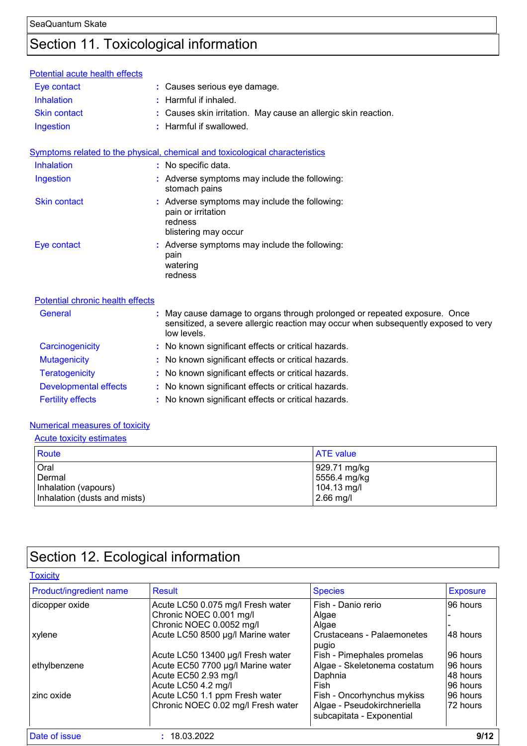# Section 11. Toxicological information

| Potential acute health effects   |                                                                                                                                                                              |
|----------------------------------|------------------------------------------------------------------------------------------------------------------------------------------------------------------------------|
| Eye contact                      | : Causes serious eye damage.                                                                                                                                                 |
| <b>Inhalation</b>                | Harmful if inhaled.                                                                                                                                                          |
| <b>Skin contact</b>              | Causes skin irritation. May cause an allergic skin reaction.                                                                                                                 |
| Ingestion                        | : Harmful if swallowed.                                                                                                                                                      |
|                                  | Symptoms related to the physical, chemical and toxicological characteristics                                                                                                 |
| Inhalation                       | : No specific data.                                                                                                                                                          |
| Ingestion                        | : Adverse symptoms may include the following:<br>stomach pains                                                                                                               |
| <b>Skin contact</b>              | Adverse symptoms may include the following:<br>pain or irritation<br>redness<br>blistering may occur                                                                         |
| Eye contact                      | : Adverse symptoms may include the following:<br>pain<br>watering<br>redness                                                                                                 |
| Potential chronic health effects |                                                                                                                                                                              |
| General                          | May cause damage to organs through prolonged or repeated exposure. Once<br>sensitized, a severe allergic reaction may occur when subsequently exposed to very<br>low levels. |
| Carcinogenicity                  | : No known significant effects or critical hazards.                                                                                                                          |
| <b>Mutagenicity</b>              | : No known significant effects or critical hazards.                                                                                                                          |
| <b>Teratogenicity</b>            | No known significant effects or critical hazards.                                                                                                                            |
| <b>Developmental effects</b>     | : No known significant effects or critical hazards.                                                                                                                          |
| <b>Fertility effects</b>         | : No known significant effects or critical hazards.                                                                                                                          |

#### Numerical measures of toxicity

| <b>Acute toxicity estimates</b>                                        |                                                            |
|------------------------------------------------------------------------|------------------------------------------------------------|
| Route                                                                  | <b>ATE</b> value                                           |
| Oral<br>Dermal<br>Inhalation (vapours)<br>Inhalation (dusts and mists) | 929.71 mg/kg<br>5556.4 mg/kg<br>104.13 mg/l<br>$2.66$ mg/l |

# Section 12. Ecological information

| <b>Toxicity</b>         |                                    |                                                          |                 |
|-------------------------|------------------------------------|----------------------------------------------------------|-----------------|
| Product/ingredient name | Result                             | <b>Species</b>                                           | <b>Exposure</b> |
| dicopper oxide          | Acute LC50 0.075 mg/l Fresh water  | Fish - Danio rerio                                       | 96 hours        |
|                         | Chronic NOEC 0.001 mg/l            | Algae                                                    |                 |
|                         | Chronic NOEC 0.0052 mg/l           | Algae                                                    |                 |
| xylene                  | Acute LC50 8500 µg/l Marine water  | Crustaceans - Palaemonetes<br>pugio                      | 48 hours        |
|                         | Acute LC50 13400 µg/l Fresh water  | Fish - Pimephales promelas                               | 96 hours        |
| ethylbenzene            | Acute EC50 7700 µg/l Marine water  | Algae - Skeletonema costatum                             | 96 hours        |
|                         | Acute EC50 2.93 mg/l               | Daphnia                                                  | 148 hours       |
|                         | Acute LC50 4.2 mg/l                | Fish                                                     | 96 hours        |
| zinc oxide              | Acute LC50 1.1 ppm Fresh water     | Fish - Oncorhynchus mykiss                               | 96 hours        |
|                         | Chronic NOEC 0.02 mg/l Fresh water | Algae - Pseudokirchneriella<br>subcapitata - Exponential | 72 hours        |
| <b>Date of issue</b>    | 18.03.2022                         |                                                          | 9/12            |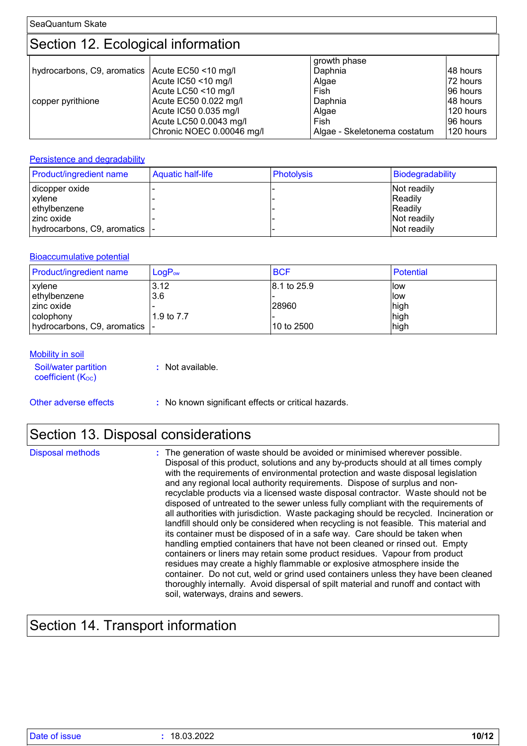SeaQuantum Skate

# Section 12. Ecological information

|                                                   |                           | growth phase                 |           |
|---------------------------------------------------|---------------------------|------------------------------|-----------|
| hydrocarbons, C9, aromatics   Acute EC50 <10 mg/l |                           | Daphnia                      | 148 hours |
|                                                   | Acute IC50 <10 mg/l       | Algae                        | 72 hours  |
|                                                   | Acute LC50 <10 mg/l       | Fish                         | 196 hours |
| copper pyrithione                                 | Acute EC50 0.022 mg/l     | Daphnia                      | 148 hours |
|                                                   | Acute IC50 0.035 mg/l     | Algae                        | 120 hours |
|                                                   | Acute LC50 0.0043 mg/l    | Fish                         | 196 hours |
|                                                   | Chronic NOEC 0.00046 mg/l | Algae - Skeletonema costatum | 120 hours |

#### **Persistence and degradability**

| Product/ingredient name        | <b>Aquatic half-life</b> | <b>Photolysis</b> | Biodegradability |
|--------------------------------|--------------------------|-------------------|------------------|
| dicopper oxide                 |                          |                   | Not readily      |
| xylene                         |                          |                   | Readily          |
| ethylbenzene                   |                          |                   | Readily          |
| l zinc oxide                   |                          |                   | Not readily      |
| hydrocarbons, C9, aromatics  - |                          |                   | Not readily      |

#### Bioaccumulative potential

| <b>Product/ingredient name</b> | $LogP_{ow}$ | <b>BCF</b>  | Potential |
|--------------------------------|-------------|-------------|-----------|
| xylene                         | 3.12        | 8.1 to 25.9 | llow      |
| ethylbenzene                   | 3.6         |             | llow      |
| l zinc oxide                   |             | 28960       | high      |
| colophony                      | 1.9 to 7.7  |             | high      |
| hydrocarbons, C9, aromatics  - |             | 10 to 2500  | high      |

#### **Mobility in soil**

| Soil/water partition<br>coefficient $(K_{OC})$ | : Not available. |
|------------------------------------------------|------------------|
|                                                |                  |

Other adverse effects **:** No known significant effects or critical hazards.

# Section 13. Disposal considerations

| Disposal methods | : The generation of waste should be avoided or minimised wherever possible.<br>Disposal of this product, solutions and any by-products should at all times comply<br>with the requirements of environmental protection and waste disposal legislation<br>and any regional local authority requirements. Dispose of surplus and non-<br>recyclable products via a licensed waste disposal contractor. Waste should not be<br>disposed of untreated to the sewer unless fully compliant with the requirements of<br>all authorities with jurisdiction. Waste packaging should be recycled. Incineration or<br>landfill should only be considered when recycling is not feasible. This material and<br>its container must be disposed of in a safe way. Care should be taken when<br>handling emptied containers that have not been cleaned or rinsed out. Empty<br>containers or liners may retain some product residues. Vapour from product<br>residues may create a highly flammable or explosive atmosphere inside the<br>container. Do not cut, weld or grind used containers unless they have been cleaned<br>thoroughly internally. Avoid dispersal of spilt material and runoff and contact with |
|------------------|--------------------------------------------------------------------------------------------------------------------------------------------------------------------------------------------------------------------------------------------------------------------------------------------------------------------------------------------------------------------------------------------------------------------------------------------------------------------------------------------------------------------------------------------------------------------------------------------------------------------------------------------------------------------------------------------------------------------------------------------------------------------------------------------------------------------------------------------------------------------------------------------------------------------------------------------------------------------------------------------------------------------------------------------------------------------------------------------------------------------------------------------------------------------------------------------------------|
|                  | soil, waterways, drains and sewers.                                                                                                                                                                                                                                                                                                                                                                                                                                                                                                                                                                                                                                                                                                                                                                                                                                                                                                                                                                                                                                                                                                                                                                    |

# Section 14. Transport information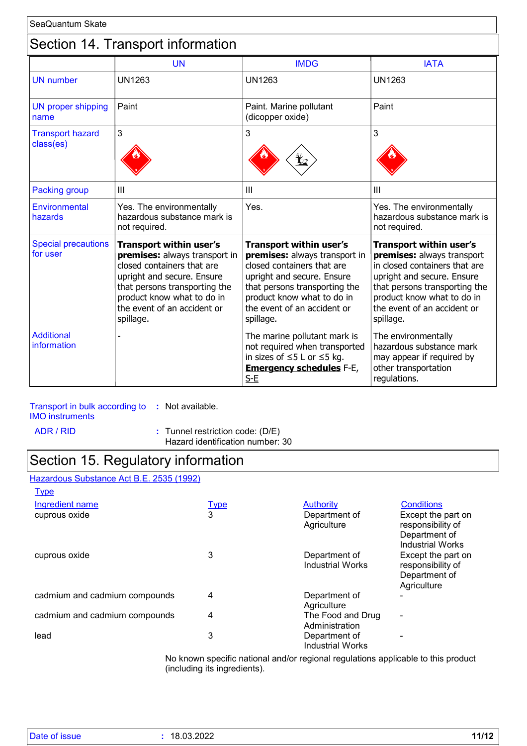### Section 14. Transport information

|                                        | <b>UN</b>                                                                                                                                                                                                                              | <b>IMDG</b>                                                                                                                                                                                                                     | <b>IATA</b>                                                                                                                                                                                                                     |
|----------------------------------------|----------------------------------------------------------------------------------------------------------------------------------------------------------------------------------------------------------------------------------------|---------------------------------------------------------------------------------------------------------------------------------------------------------------------------------------------------------------------------------|---------------------------------------------------------------------------------------------------------------------------------------------------------------------------------------------------------------------------------|
| <b>UN</b> number                       | <b>UN1263</b>                                                                                                                                                                                                                          | <b>UN1263</b>                                                                                                                                                                                                                   | <b>UN1263</b>                                                                                                                                                                                                                   |
| <b>UN proper shipping</b><br>name      | Paint                                                                                                                                                                                                                                  | Paint. Marine pollutant<br>(dicopper oxide)                                                                                                                                                                                     | Paint                                                                                                                                                                                                                           |
| <b>Transport hazard</b><br>class(es)   | 3                                                                                                                                                                                                                                      | 3                                                                                                                                                                                                                               | 3                                                                                                                                                                                                                               |
| <b>Packing group</b>                   | III                                                                                                                                                                                                                                    | III                                                                                                                                                                                                                             | III                                                                                                                                                                                                                             |
| Environmental<br>hazards               | Yes. The environmentally<br>hazardous substance mark is<br>not required.                                                                                                                                                               | Yes.                                                                                                                                                                                                                            | Yes. The environmentally<br>hazardous substance mark is<br>not required.                                                                                                                                                        |
| <b>Special precautions</b><br>for user | <b>Transport within user's</b><br>premises: always transport in<br>closed containers that are<br>upright and secure. Ensure<br>that persons transporting the<br>product know what to do in<br>the event of an accident or<br>spillage. | Transport within user's<br>premises: always transport in<br>closed containers that are<br>upright and secure. Ensure<br>that persons transporting the<br>product know what to do in<br>the event of an accident or<br>spillage. | Transport within user's<br>premises: always transport<br>in closed containers that are<br>upright and secure. Ensure<br>that persons transporting the<br>product know what to do in<br>the event of an accident or<br>spillage. |
| <b>Additional</b><br>information       |                                                                                                                                                                                                                                        | The marine pollutant mark is<br>not required when transported<br>in sizes of $\leq$ 5 L or $\leq$ 5 kg.<br><b>Emergency schedules F-E,</b><br>$S-E$                                                                             | The environmentally<br>hazardous substance mark<br>may appear if required by<br>other transportation<br>regulations.                                                                                                            |

### Transport in bulk according to **:** Not available.

IMO instruments

ADR / RID **:** Tunnel restriction code: (D/E)

Hazard identification number: 30

### Section 15. Regulatory information

#### Hazardous Substance Act B.E. 2535 (1992)

| <b>Type</b>                   |             |                                          |                                                                                     |
|-------------------------------|-------------|------------------------------------------|-------------------------------------------------------------------------------------|
| <b>Ingredient name</b>        | <b>Type</b> | <b>Authority</b>                         | <b>Conditions</b>                                                                   |
| cuprous oxide                 | 3           | Department of<br>Agriculture             | Except the part on<br>responsibility of<br>Department of<br><b>Industrial Works</b> |
| cuprous oxide                 | 3           | Department of<br><b>Industrial Works</b> | Except the part on<br>responsibility of<br>Department of<br>Agriculture             |
| cadmium and cadmium compounds | 4           | Department of<br>Agriculture             |                                                                                     |
| cadmium and cadmium compounds | 4           | The Food and Drug<br>Administration      | $\blacksquare$                                                                      |
| lead                          | 3           | Department of<br><b>Industrial Works</b> |                                                                                     |

No known specific national and/or regional regulations applicable to this product (including its ingredients).